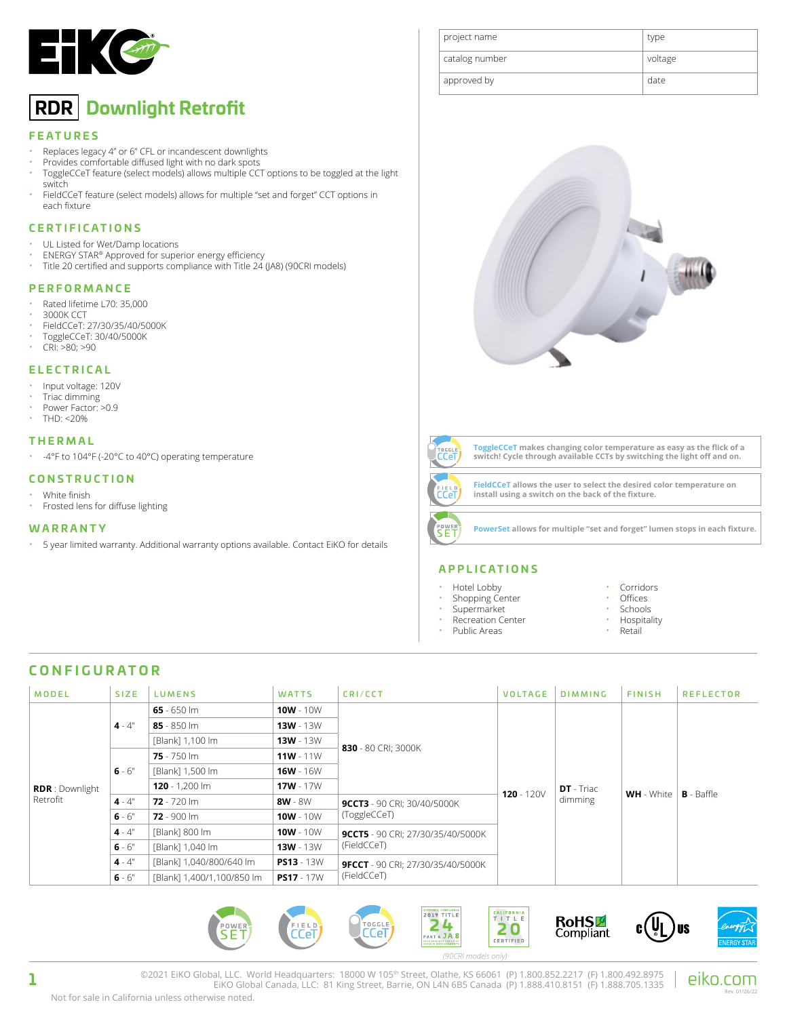

# **RDR Downlight Retrofit**

#### **FEATURES**

- Replaces legacy 4" or 6" CFL or incandescent downlights
- Provides comfortable diffused light with no dark spots • ToggleCCeT feature (select models) allows multiple CCT options to be toggled at the light
- switch • FieldCCeT feature (select models) allows for multiple "set and forget" CCT options in each fixture

#### **CERTIFICATIONS**

- UL Listed for Wet/Damp locations
- ENERGY STAR® Approved for superior energy efficiency<br>• Title 20 certified and supports compliance with Title 24
- Title 20 certified and supports compliance with Title 24 (JA8) (90CRI models)

#### **PERFORMANCE**

- Rated lifetime L70: 35,000
- 3000K CCT
- FieldCCeT: 27/30/35/40/5000K
- ToggleCCeT: 30/40/5000K
- CRI: >80; >90

#### **ELECTRICAL**

- Input voltage: 120V
- Triac dimming
- Power Factor: >0.9
- $THD: < 20\%$

#### **THERMAL**

• -4°F to 104°F (-20°C to 40°C) operating temperature

#### **CONSTRUCTION**

- White finish
- Frosted lens for diffuse lighting

#### **WARRANTY**

• 5 year limited warranty. Additional warranty options available. Contact EiKO for details







**ToggleCCeT makes changing color temperature as easy as the flick of a switch! Cycle through available CCTs by switching the light off and on.**



**FieldCCeT allows the user to select the desired color temperature on** 

**PowerSet allows for multiple "set and forget" lumen stops in each fixture.**

**install using a switch on the back of the fixture.** 



- Hotel Lobby
- Shopping Center
- **Supermarket**
- Recreation Center
- Public Areas
- **Corridors**
- Offices
- **Schools**
- Hospitality
- Retail

# **CONFIGURATOR**

| <b>MODEL</b>                       | <b>SIZE</b> | <b>LUMENS</b>              | <b>WATTS</b>      | CRI/CCT                                  | <b>VOLTAGE</b> | <b>DIMMING</b>               | <b>FINISH</b>     | <b>REFLECTOR</b> |
|------------------------------------|-------------|----------------------------|-------------------|------------------------------------------|----------------|------------------------------|-------------------|------------------|
| <b>RDR</b> : Downlight<br>Retrofit | $4 - 4"$    | 65 - 650 lm                | $10W - 10W$       |                                          | 120 - 120 $V$  | <b>DT</b> - Triac<br>dimming | <b>WH</b> - White | $B - B$ affle    |
|                                    |             | $85 - 850$ km              | $13W - 13W$       |                                          |                |                              |                   |                  |
|                                    |             | [Blank] 1,100 lm           | $13W - 13W$       | 830 - 80 CRI; 3000K                      |                |                              |                   |                  |
|                                    | $6 - 6''$   | $75 - 750$ lm              | $11W - 11W$       |                                          |                |                              |                   |                  |
|                                    |             | [Blank] 1,500 lm           | $16W - 16W$       |                                          |                |                              |                   |                  |
|                                    |             | $120 - 1.200$ lm           | $17W - 17W$       |                                          |                |                              |                   |                  |
|                                    | $4 - 4"$    | $72 - 720$ lm              | 8W - 8W           | <b>9CCT3</b> - 90 CRI; 30/40/5000K       |                |                              |                   |                  |
|                                    | $6 - 6''$   | $72 - 900$ lm              | $10W - 10W$       | (ToggleCCeT)                             |                |                              |                   |                  |
|                                    | $4 - 4"$    | [Blank] 800 lm             | $10W - 10W$       | <b>9CCT5</b> - 90 CRI; 27/30/35/40/5000K |                |                              |                   |                  |
|                                    | $6 - 6''$   | [Blank] 1,040 lm           | $13W - 13W$       | (FieldCCeT)                              |                |                              |                   |                  |
|                                    | $4 - 4"$    | [Blank] 1,040/800/640 lm   | <b>PS13</b> - 13W | <b>9FCCT</b> - 90 CRI; 27/30/35/40/5000K |                |                              |                   |                  |
|                                    | $6 - 6''$   | [Blank] 1,400/1,100/850 lm | $PS17 - 17W$      | (FieldCCeT)                              |                |                              |                   |                  |



©2021 EiKO Global, LLC. World Headquarters: 18000 W 105<sup>th</sup> Street, Olathe, KS 66061 (P) 1.800.852.2217 (F) 1.800.492.8975 | eiKO.COM<br>EiKO Global Canada, LLC: 81 King Street, Barrie, ON L4N 6B5 Canada (P) 1.888.410.8151 (F